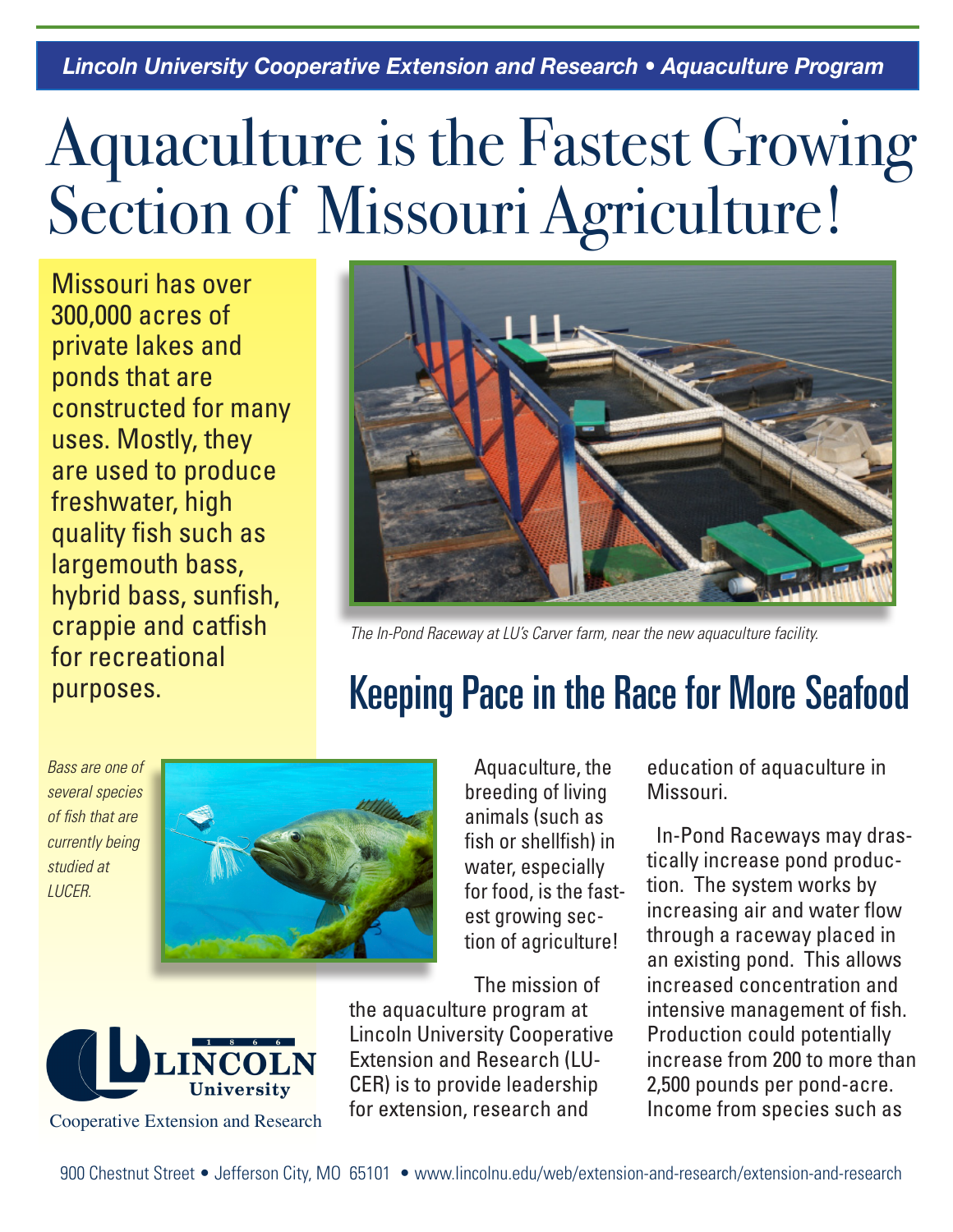## Aquaculture is the Fastest Growing Section of Missouri Agriculture!

Missouri has over 300,000 acres of private lakes and ponds that are constructed for many uses. Mostly, they are used to produce freshwater, high quality fish such as largemouth bass, hybrid bass, sunfish, crappie and catfish for recreational purposes.



*The In-Pond Raceway at LU's Carver farm, near the new aquaculture facility.*

## Keeping Pace in the Race for More Seafood

*Bass are one of several species of fish that are currently being studied at LUCER.*



Aquaculture, the breeding of living animals (such as fish or shellfish) in water, especially for food, is the fastest growing section of agriculture!

The mission of the aquaculture program at Lincoln University Cooperative Extension and Research (LU-CER) is to provide leadership for extension, research and

education of aquaculture in Missouri.

In-Pond Raceways may drastically increase pond production. The system works by increasing air and water flow through a raceway placed in an existing pond. This allows increased concentration and intensive management of fish. Production could potentially increase from 200 to more than 2,500 pounds per pond-acre. Income from species such as